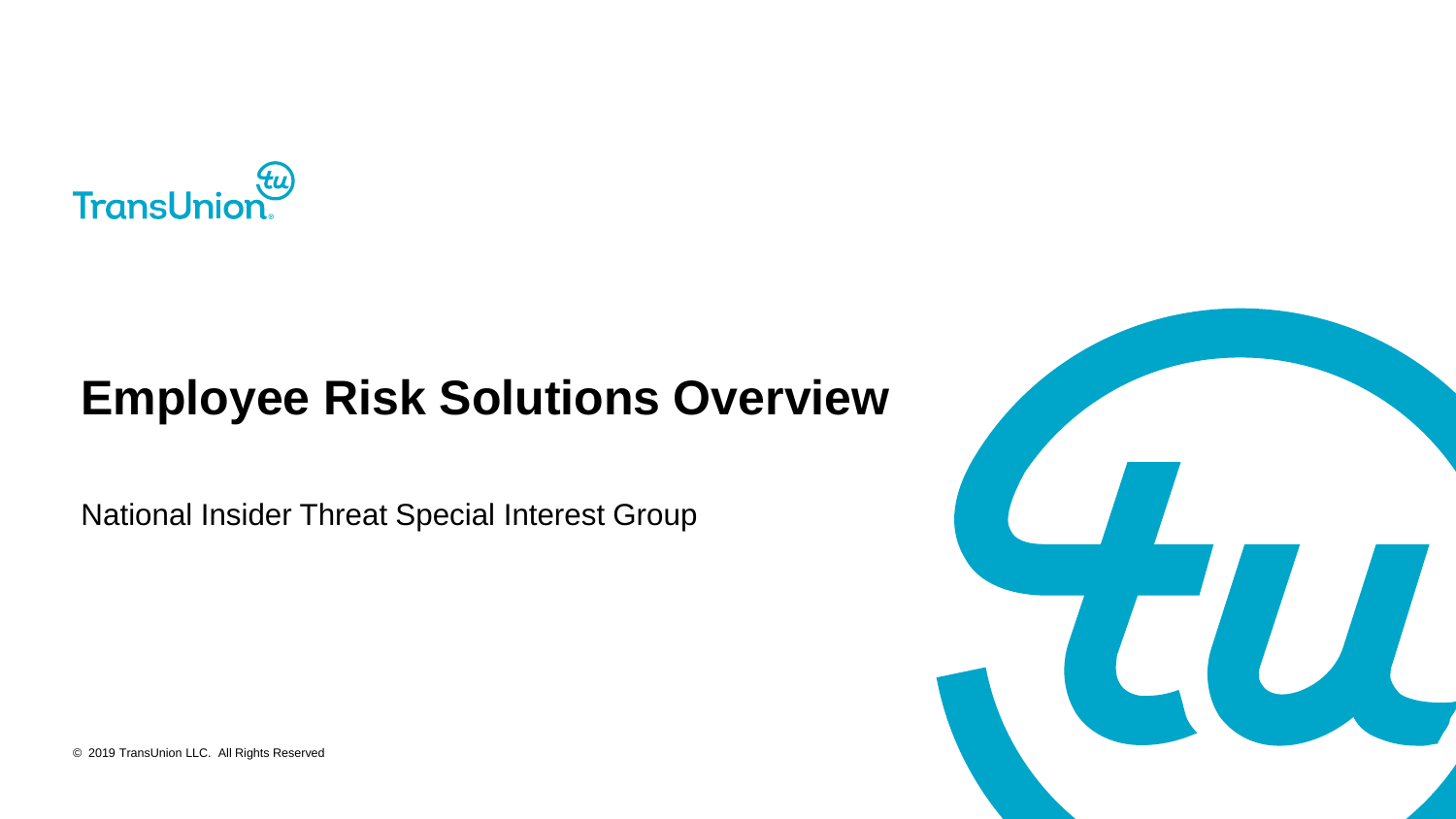

#### **Employee Risk Solutions Overview**

National Insider Threat Special Interest Group



© 2019 TransUnion LLC. All Rights Reserved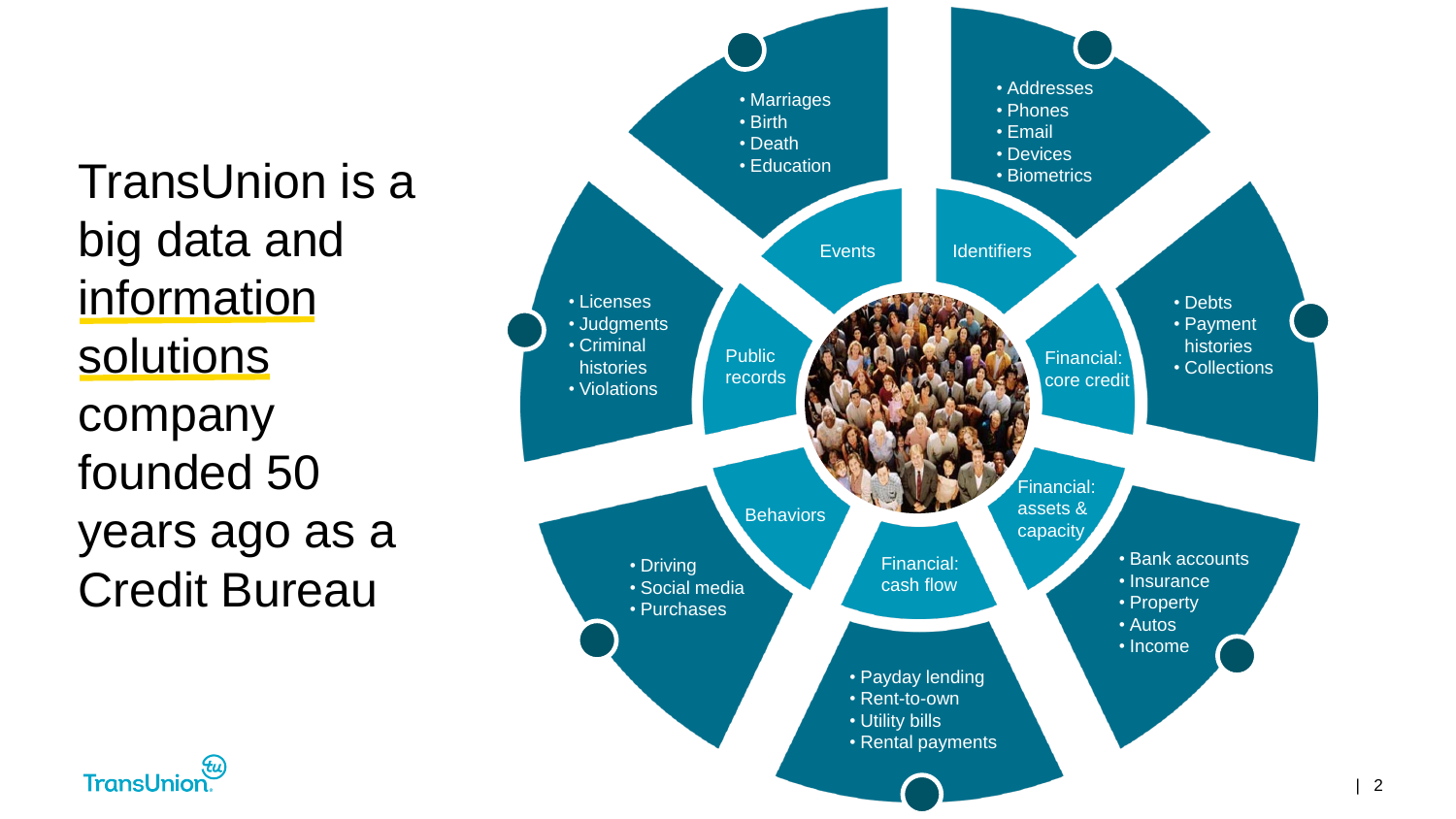TransUnion is a big data and information solutions company founded 50 years ago as a Credit Bureau



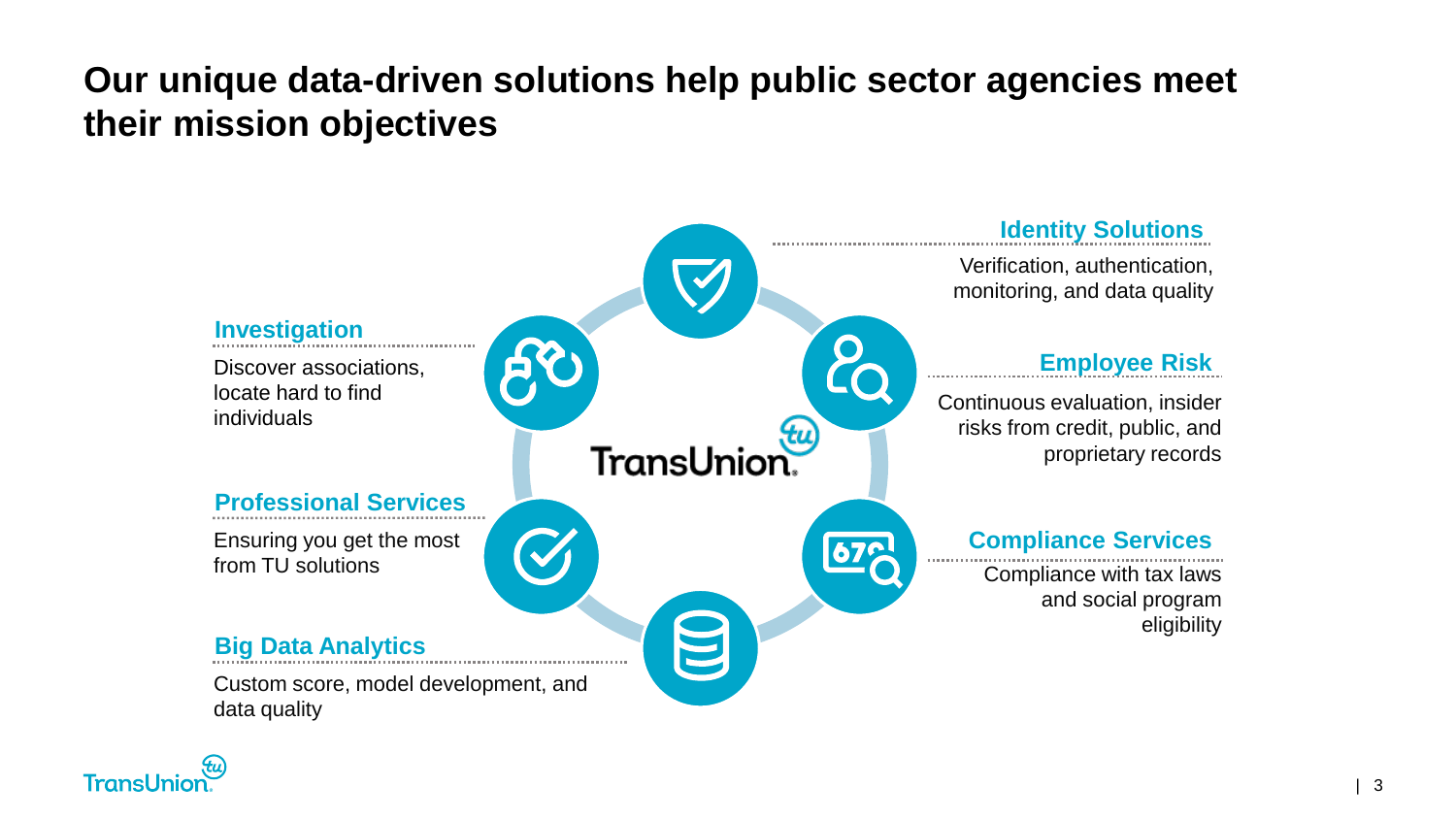#### **Our unique data-driven solutions help public sector agencies meet their mission objectives**



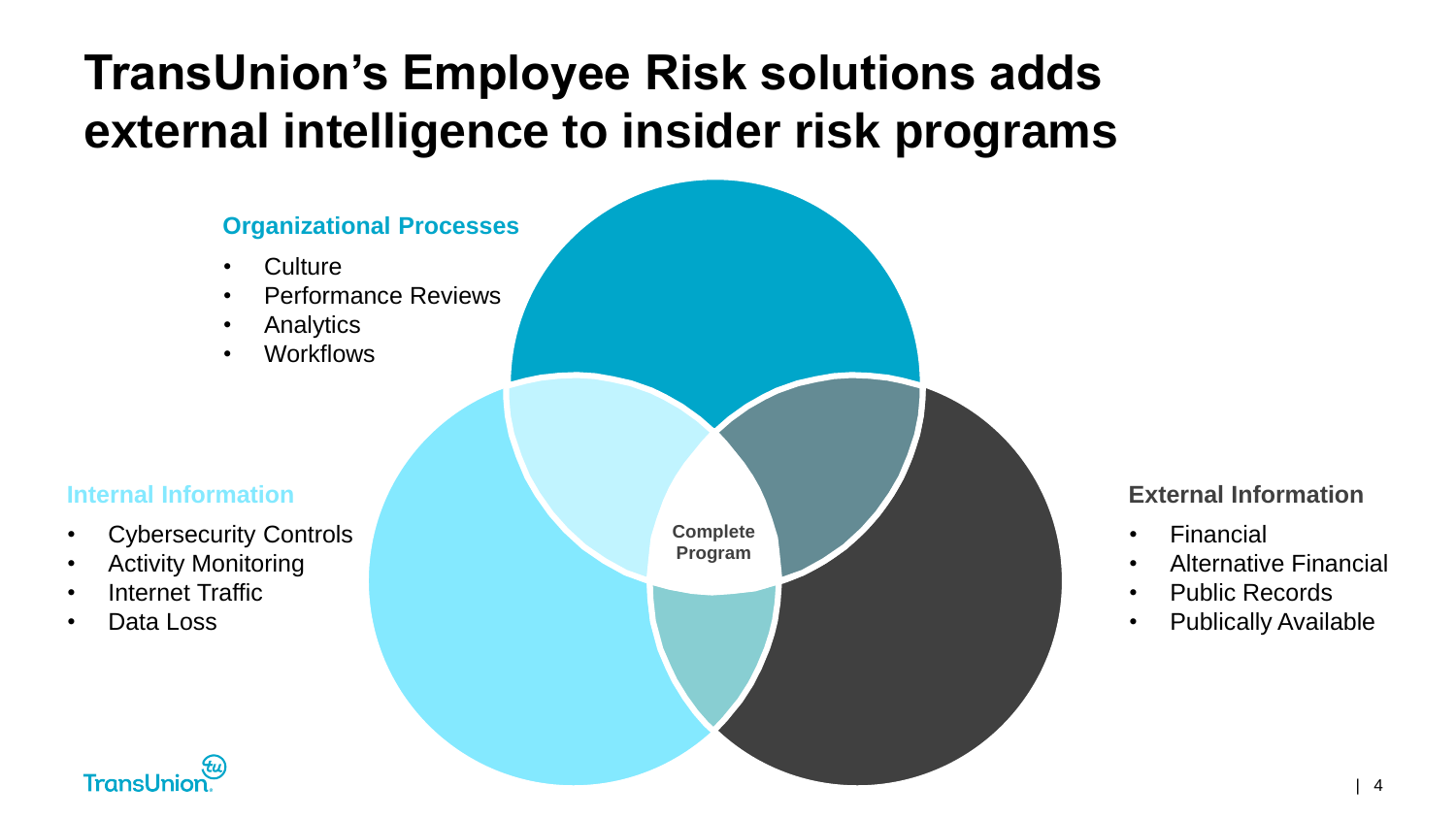# **TransUnion's Employee Risk solutions adds external intelligence to insider risk programs**



#### **External Information**

- **Financial**
- Alternative Financial
- Public Records
- Publically Available

 $\sim$  4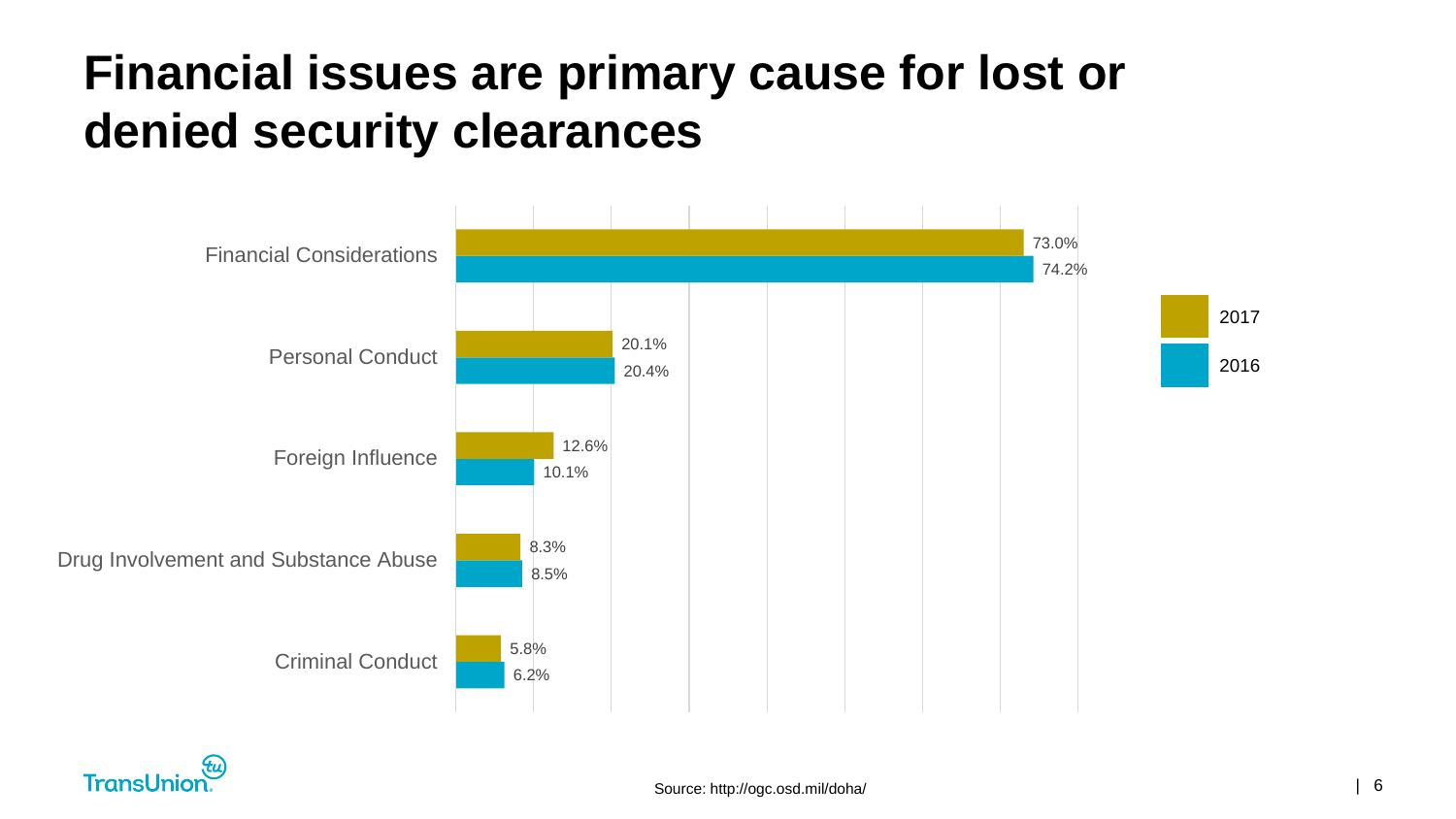#### **Financial issues are primary cause for lost or denied security clearances**



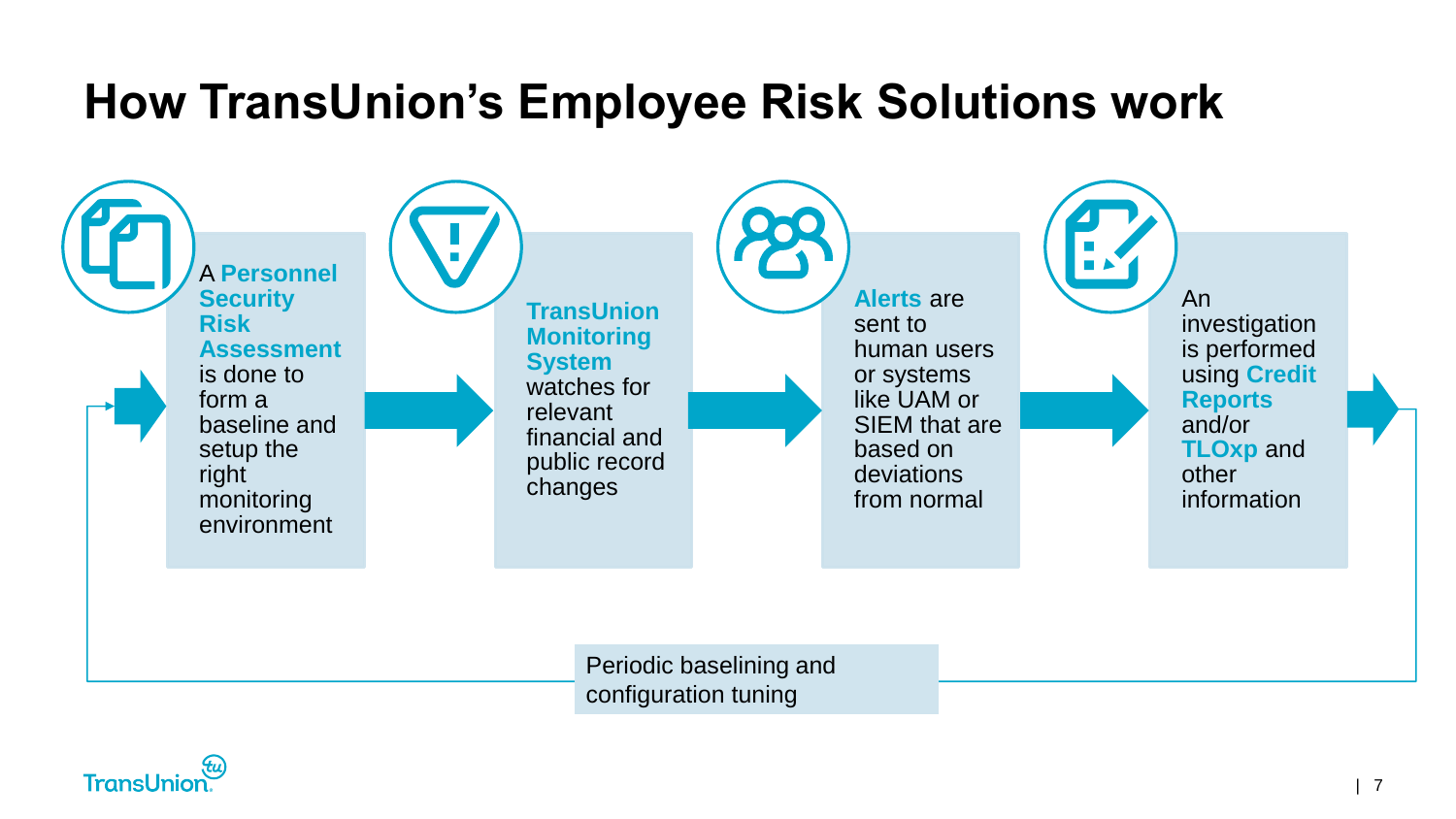#### **How TransUnion's Employee Risk Solutions work**



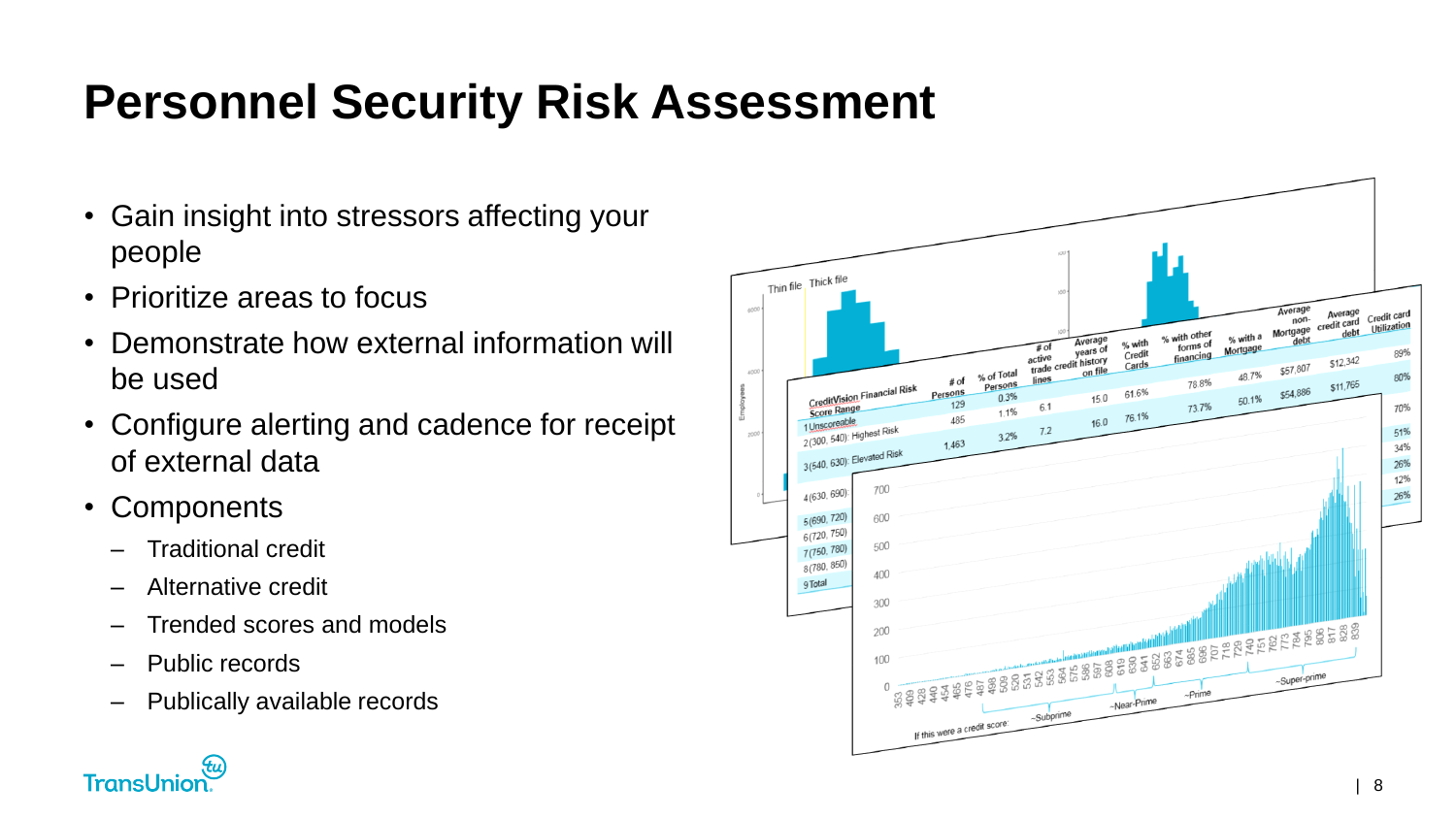# **Personnel Security Risk Assessment**

- Gain insight into stressors affecting your people
- Prioritize areas to focus
- Demonstrate how external information will be used
- Configure alerting and cadence for receipt of external data
- Components
	- Traditional credit
	- Alternative credit
	- Trended scores and models
	- Public records
	- Publically available records



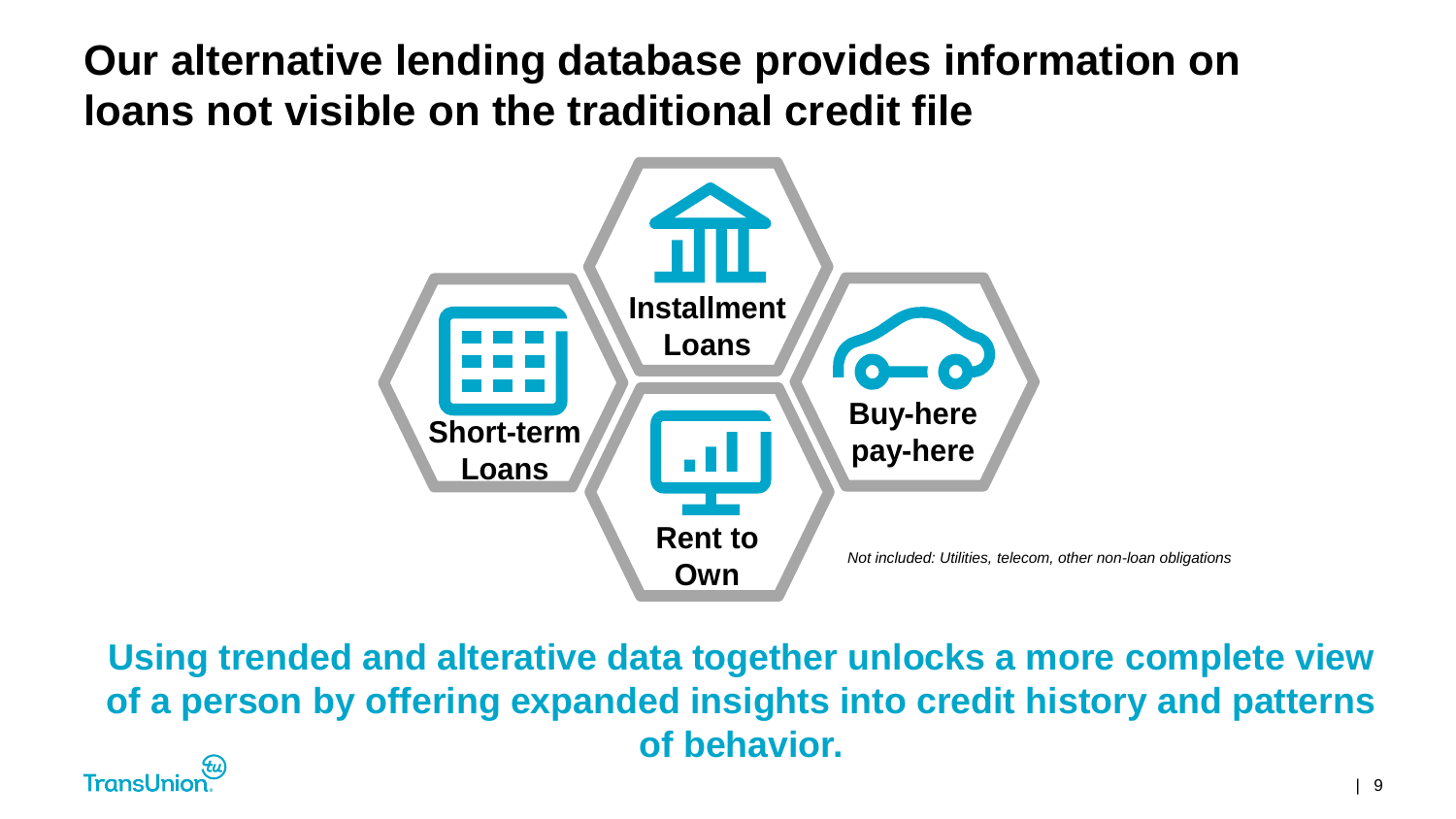**Our alternative lending database provides information on loans not visible on the traditional credit file**



**Using trended and alterative data together unlocks a more complete view of a person by offering expanded insights into credit history and patterns of behavior.** 

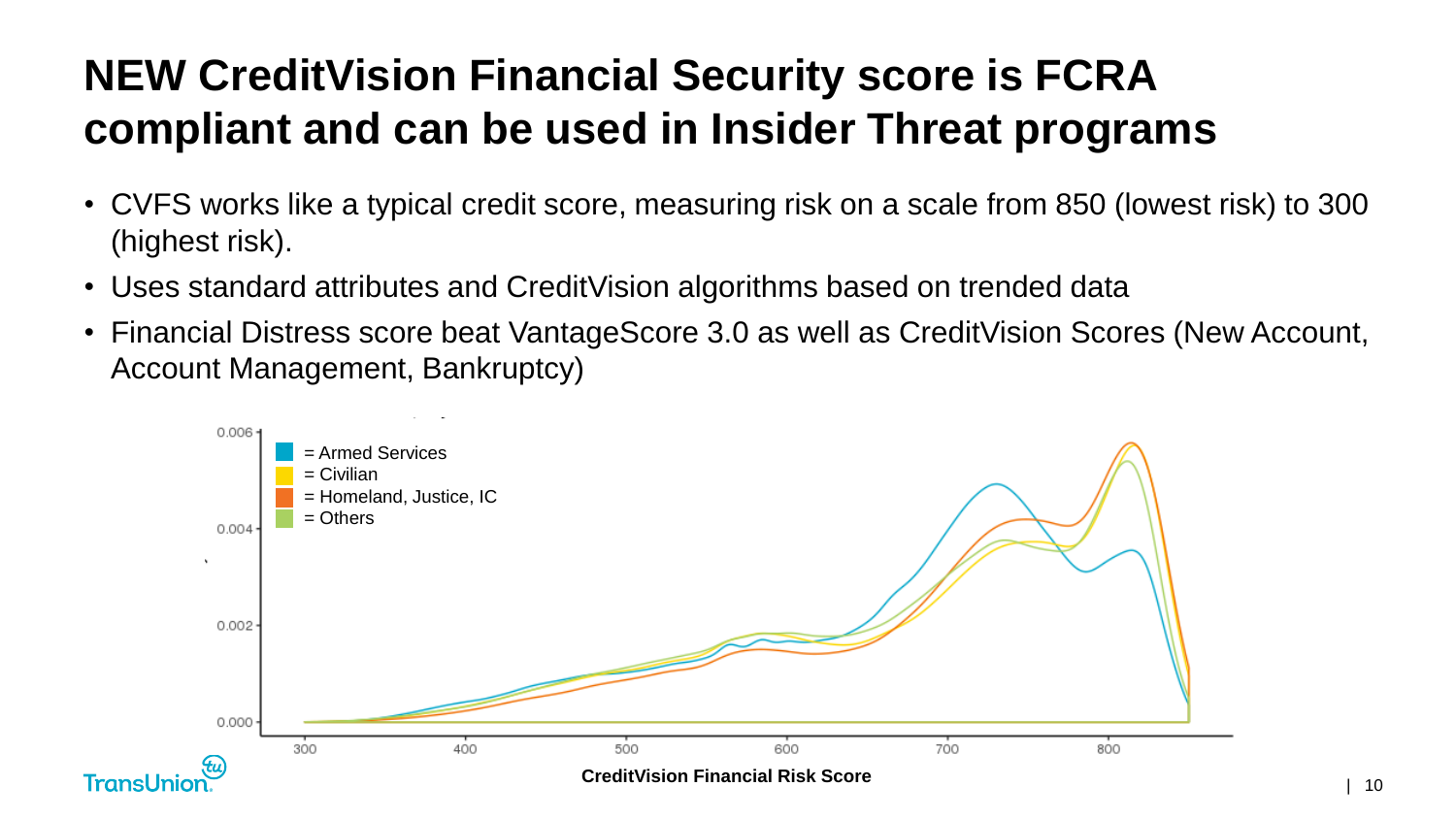#### **NEW CreditVision Financial Security score is FCRA compliant and can be used in Insider Threat programs**

- CVFS works like a typical credit score, measuring risk on a scale from 850 (lowest risk) to 300 (highest risk).
- Uses standard attributes and CreditVision algorithms based on trended data
- Financial Distress score beat VantageScore 3.0 as well as CreditVision Scores (New Account, Account Management, Bankruptcy)

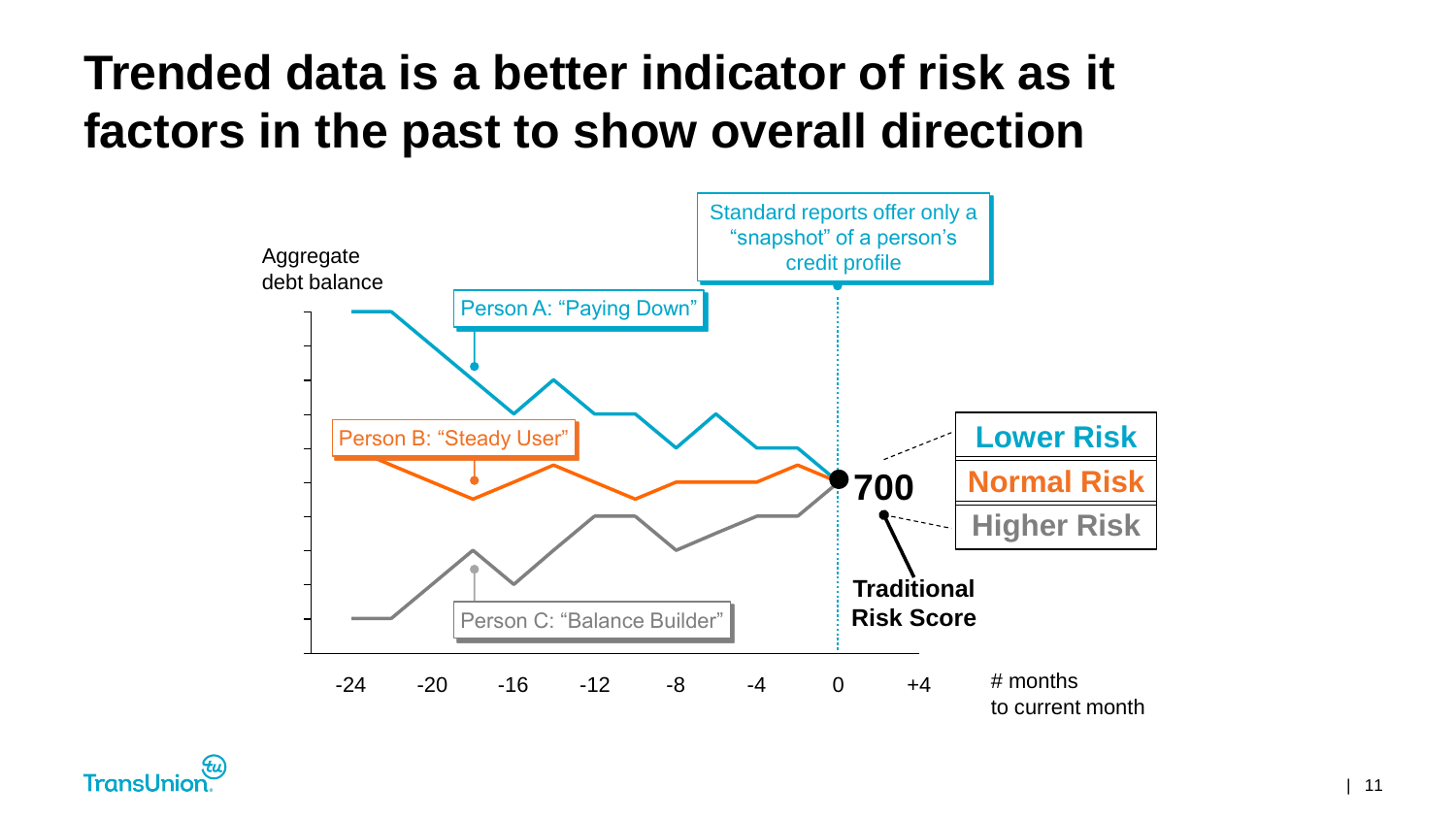#### **Trended data is a better indicator of risk as it factors in the past to show overall direction**



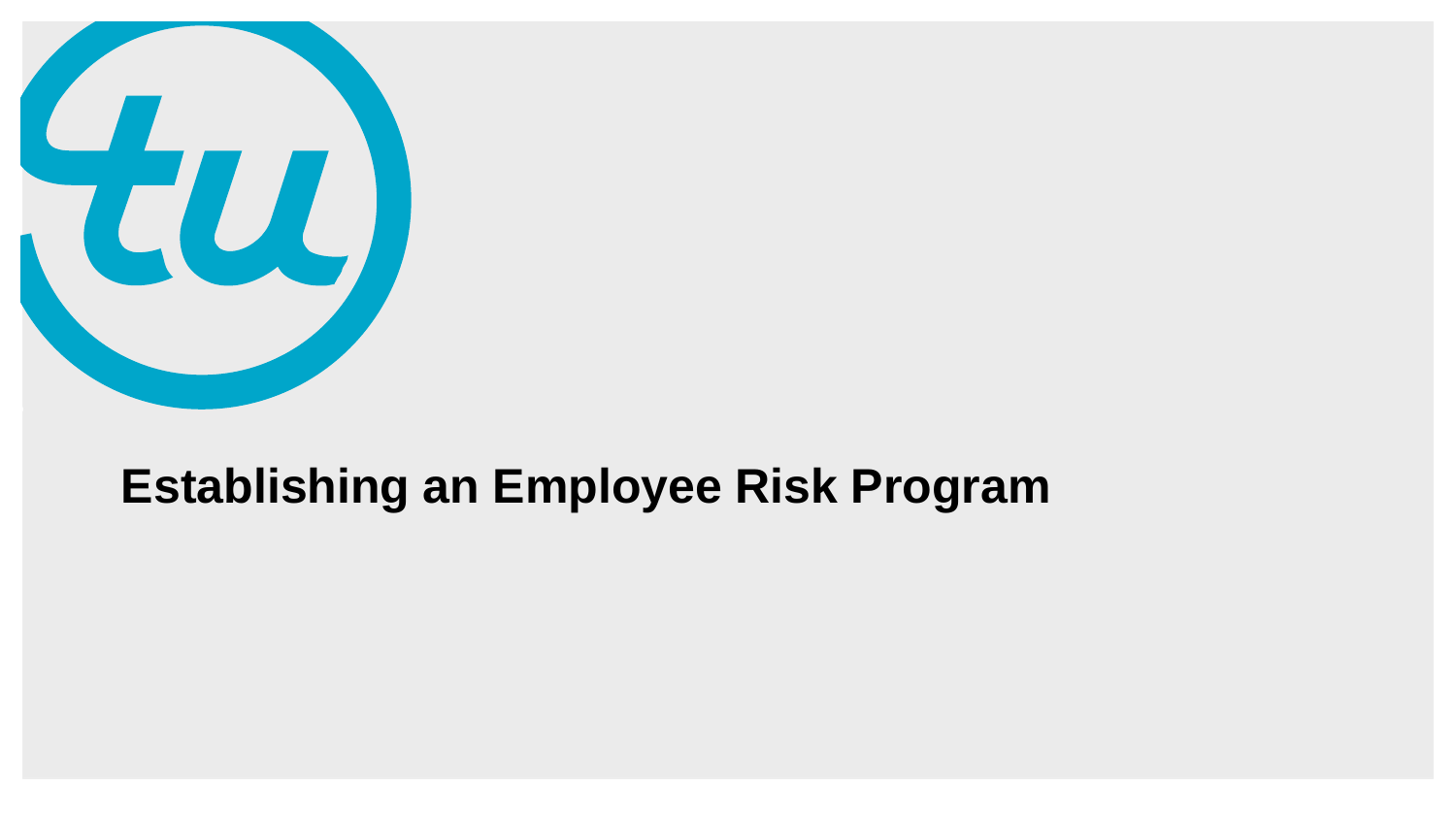

#### **Establishing an Employee Risk Program**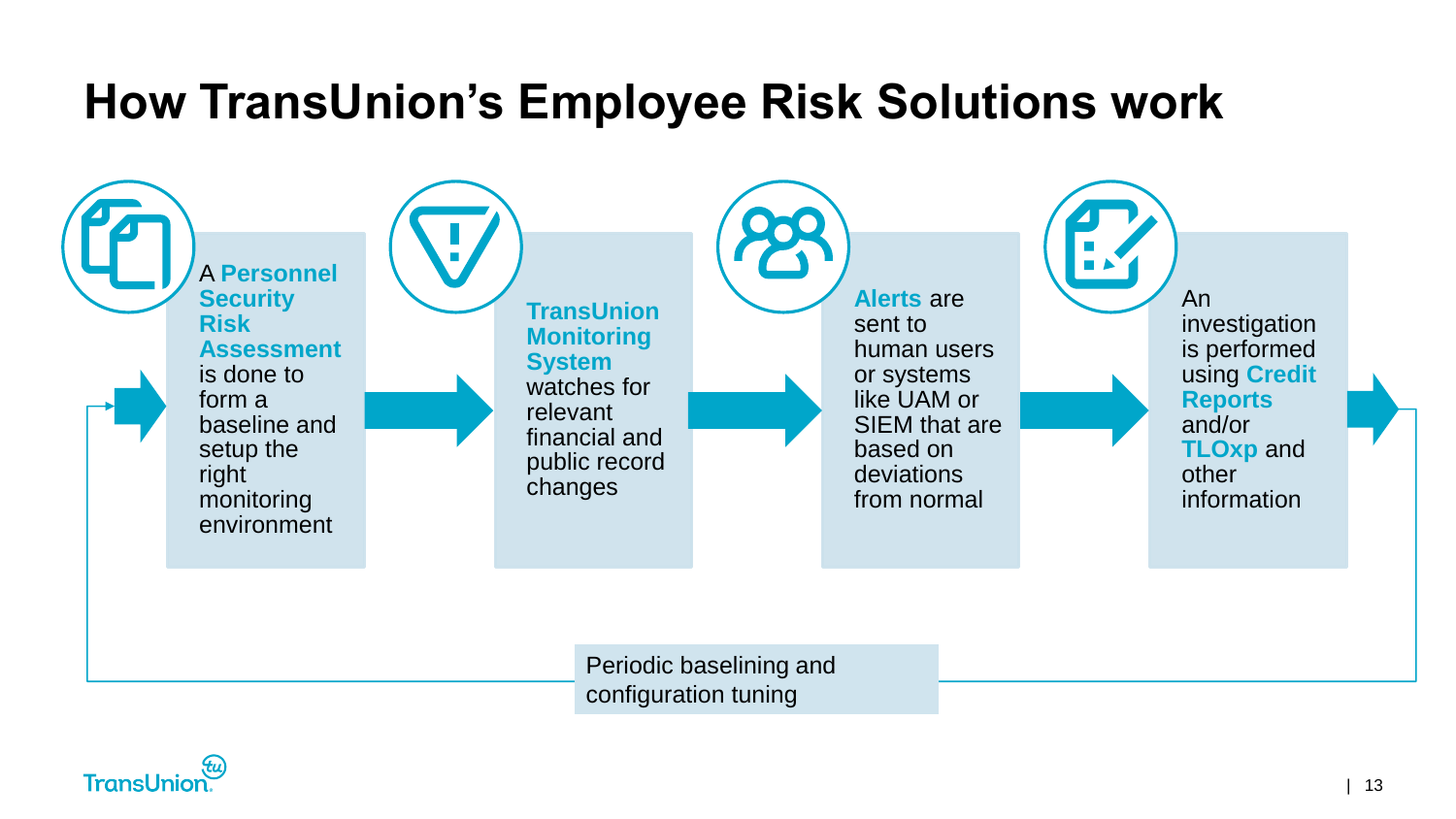#### **How TransUnion's Employee Risk Solutions work**



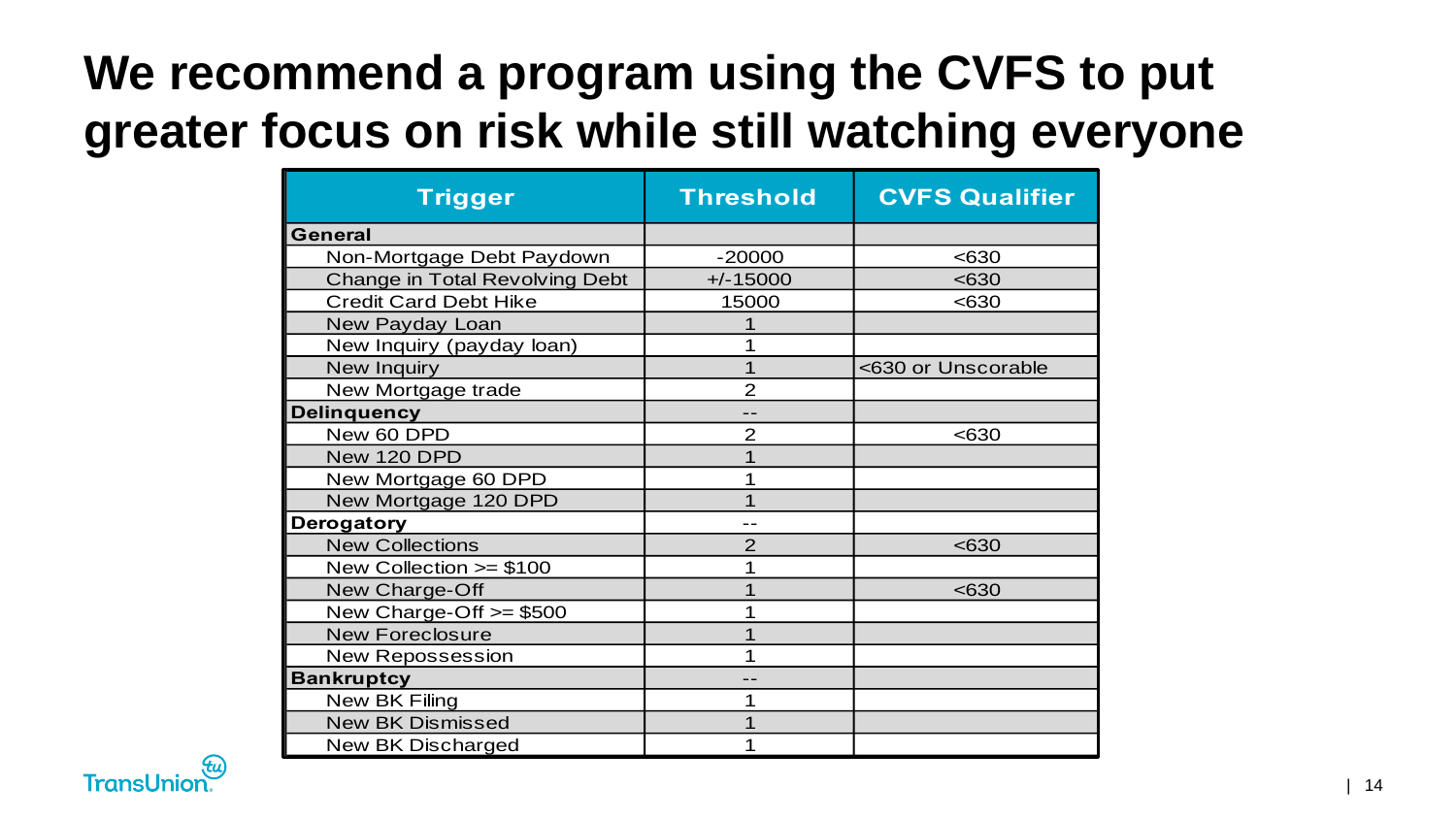# **We recommend a program using the CVFS to put greater focus on risk while still watching everyone**

| <b>Trigger</b>                        | <b>Threshold</b> | <b>CVFS Qualifier</b> |
|---------------------------------------|------------------|-----------------------|
| <b>General</b>                        |                  |                       |
| Non-Mortgage Debt Paydown             | $-20000$         | < 630                 |
| <b>Change in Total Revolving Debt</b> | $+/-15000$       | < 630                 |
| <b>Credit Card Debt Hike</b>          | 15000            | <630                  |
| New Payday Loan                       |                  |                       |
| New Inquiry (payday loan)             |                  |                       |
| New Inquiry                           |                  | <630 or Unscorable    |
| New Mortgage trade                    | $\overline{2}$   |                       |
| <b>Delinquency</b>                    |                  |                       |
| New 60 DPD                            | $\overline{2}$   | < 630                 |
| New 120 DPD                           |                  |                       |
| New Mortgage 60 DPD                   |                  |                       |
| New Mortgage 120 DPD                  |                  |                       |
| Derogatory                            |                  |                       |
| <b>New Collections</b>                | $\overline{2}$   | < 630                 |
| New Collection $>= $100$              | 1                |                       |
| New Charge-Off                        |                  | < 630                 |
| New Charge-Off >= \$500               |                  |                       |
| <b>New Foreclosure</b>                |                  |                       |
| <b>New Repossession</b>               |                  |                       |
| <b>Bankruptcy</b>                     |                  |                       |
| New BK Filing                         |                  |                       |
| <b>New BK Dismissed</b>               |                  |                       |
| <b>New BK Discharged</b>              |                  |                       |

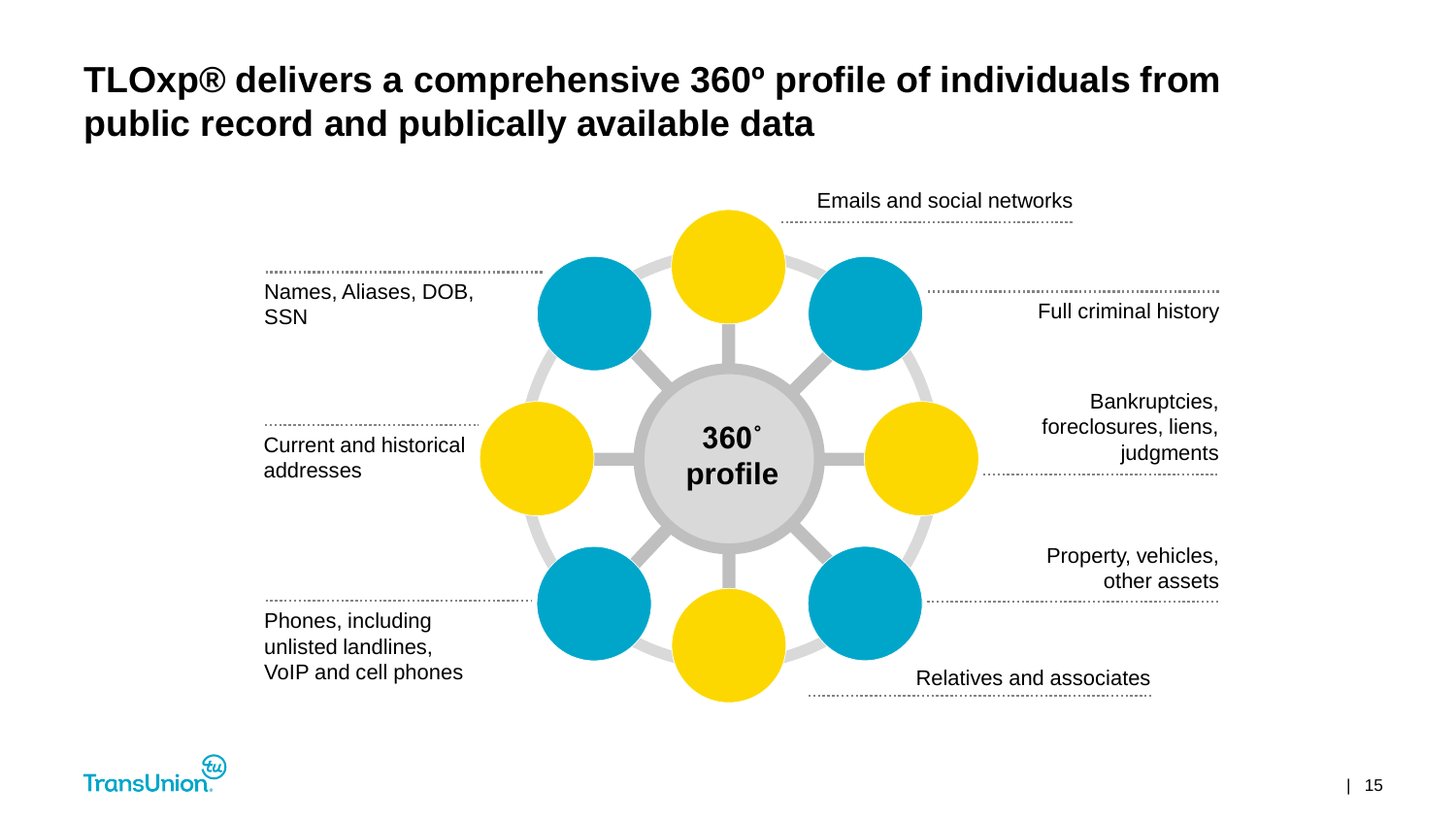#### **TLOxp® delivers a comprehensive 360º profile of individuals from public record and publically available data**



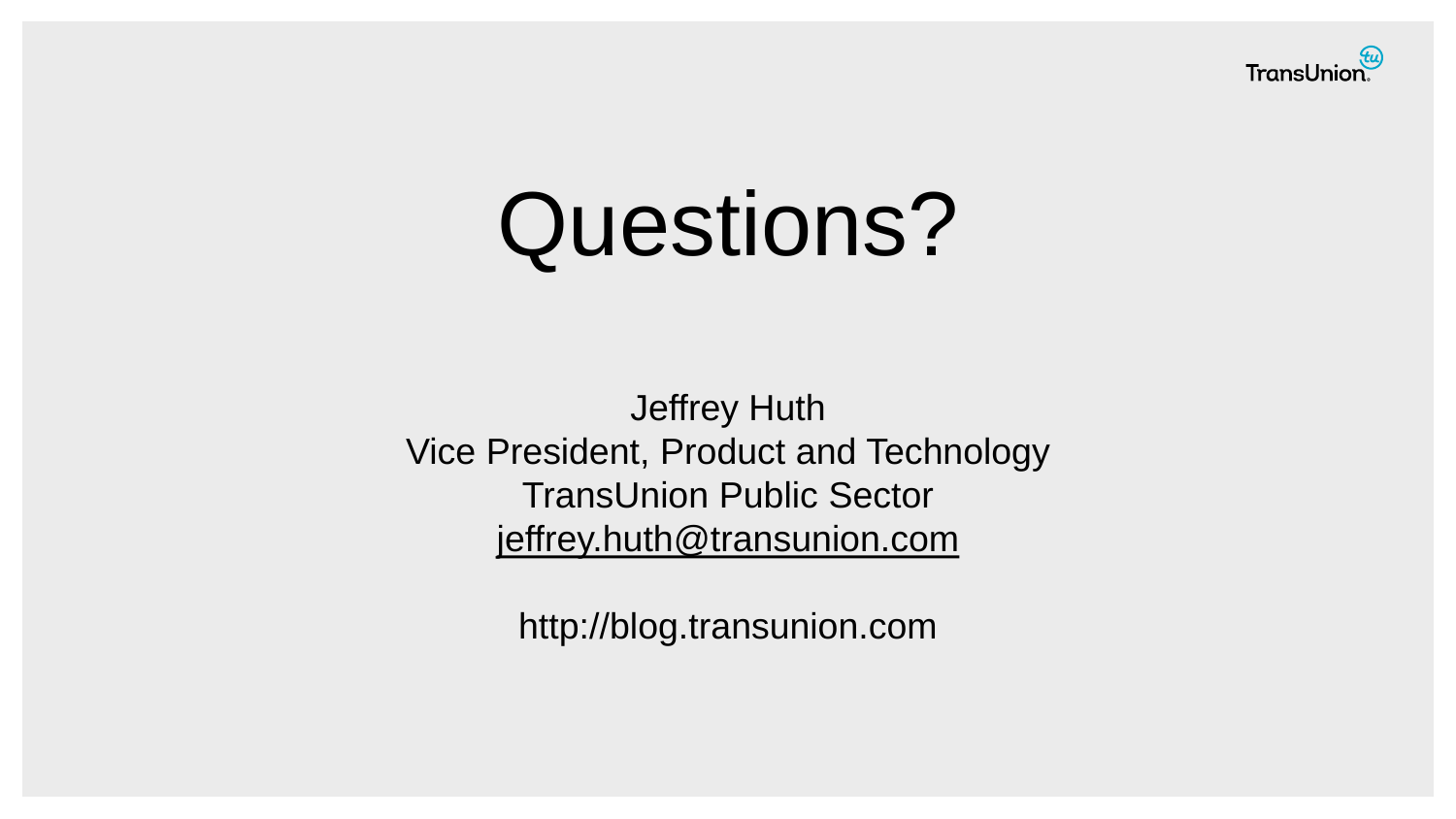

# Questions?

Jeffrey Huth Vice President, Product and Technology TransUnion Public Sector [jeffrey.huth@transunion.com](mailto:jhuth@transunion.com)

http://blog.transunion.com